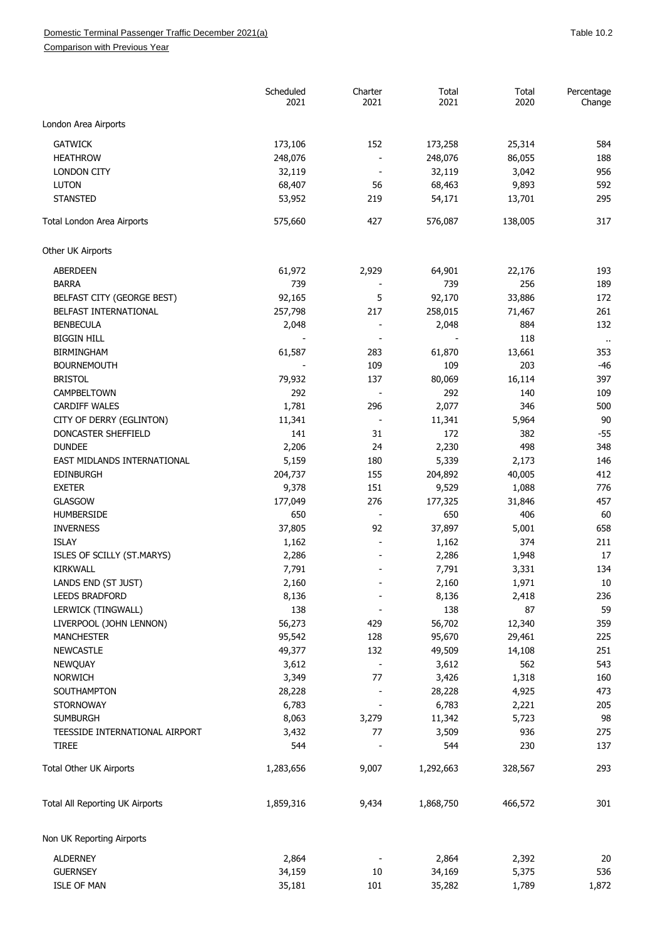Comparison with Previous Year

|                                 | Scheduled<br>2021 | Charter<br>2021              | Total<br>2021 | Total<br>2020 | Percentage<br>Change |
|---------------------------------|-------------------|------------------------------|---------------|---------------|----------------------|
| London Area Airports            |                   |                              |               |               |                      |
| <b>GATWICK</b>                  | 173,106           | 152                          | 173,258       | 25,314        | 584                  |
| <b>HEATHROW</b>                 | 248,076           | $\overline{\phantom{a}}$     | 248,076       | 86,055        | 188                  |
| <b>LONDON CITY</b>              | 32,119            | $\overline{\phantom{a}}$     | 32,119        | 3,042         | 956                  |
| <b>LUTON</b>                    | 68,407            | 56                           | 68,463        | 9,893         | 592                  |
| <b>STANSTED</b>                 | 53,952            | 219                          | 54,171        | 13,701        | 295                  |
| Total London Area Airports      | 575,660           | 427                          | 576,087       | 138,005       | 317                  |
| Other UK Airports               |                   |                              |               |               |                      |
| ABERDEEN                        | 61,972            | 2,929                        | 64,901        | 22,176        | 193                  |
| <b>BARRA</b>                    | 739               |                              | 739           | 256           | 189                  |
| BELFAST CITY (GEORGE BEST)      | 92,165            | 5                            | 92,170        | 33,886        | 172                  |
| BELFAST INTERNATIONAL           | 257,798           | 217                          | 258,015       | 71,467        | 261                  |
| <b>BENBECULA</b>                | 2,048             |                              | 2,048         | 884           | 132                  |
| <b>BIGGIN HILL</b>              |                   | $\overline{\phantom{a}}$     |               | 118           | $\sim$               |
| <b>BIRMINGHAM</b>               | 61,587            | 283                          | 61,870        | 13,661        | 353                  |
| <b>BOURNEMOUTH</b>              |                   | 109                          | 109           | 203           | $-46$                |
| <b>BRISTOL</b>                  | 79,932            | 137                          | 80,069        | 16,114        | 397                  |
| CAMPBELTOWN                     | 292               | $\sim$                       | 292           | 140           | 109                  |
| <b>CARDIFF WALES</b>            |                   | 296                          |               |               | 500                  |
|                                 | 1,781             |                              | 2,077         | 346           |                      |
| CITY OF DERRY (EGLINTON)        | 11,341            | $\blacksquare$               | 11,341        | 5,964         | 90                   |
| DONCASTER SHEFFIELD             | 141               | 31                           | 172           | 382           | $-55$                |
| <b>DUNDEE</b>                   | 2,206             | 24                           | 2,230         | 498           | 348                  |
| EAST MIDLANDS INTERNATIONAL     | 5,159             | 180                          | 5,339         | 2,173         | 146                  |
| <b>EDINBURGH</b>                | 204,737           | 155                          | 204,892       | 40,005        | 412                  |
| <b>EXETER</b>                   | 9,378             | 151                          | 9,529         | 1,088         | 776                  |
| GLASGOW                         | 177,049           | 276                          | 177,325       | 31,846        | 457                  |
| <b>HUMBERSIDE</b>               | 650               |                              | 650           | 406           | 60                   |
| <b>INVERNESS</b>                | 37,805            | 92                           | 37,897        | 5,001         | 658                  |
| <b>ISLAY</b>                    | 1,162             |                              | 1,162         | 374           | 211                  |
| ISLES OF SCILLY (ST.MARYS)      | 2,286             |                              | 2,286         | 1,948         | 17                   |
| <b>KIRKWALL</b>                 | 7,791             |                              | 7,791         | 3,331         | 134                  |
| LANDS END (ST JUST)             | 2,160             |                              | 2,160         | 1,971         | 10                   |
| <b>LEEDS BRADFORD</b>           | 8,136             |                              | 8,136         | 2,418         | 236                  |
| LERWICK (TINGWALL)              | 138               |                              | 138           | 87            | 59                   |
| LIVERPOOL (JOHN LENNON)         | 56,273            | 429                          | 56,702        | 12,340        | 359                  |
| <b>MANCHESTER</b>               | 95,542            | 128                          | 95,670        | 29,461        | 225                  |
| <b>NEWCASTLE</b>                | 49,377            | 132                          | 49,509        | 14,108        | 251                  |
| <b>NEWQUAY</b>                  | 3,612             | $\overline{\phantom{a}}$     | 3,612         | 562           | 543                  |
| <b>NORWICH</b>                  | 3,349             | 77                           | 3,426         | 1,318         | 160                  |
| SOUTHAMPTON                     | 28,228            | $\qquad \qquad \blacksquare$ | 28,228        | 4,925         | 473                  |
| <b>STORNOWAY</b>                | 6,783             |                              | 6,783         |               | 205                  |
|                                 |                   |                              |               | 2,221         |                      |
| <b>SUMBURGH</b>                 | 8,063             | 3,279                        | 11,342        | 5,723         | 98                   |
| TEESSIDE INTERNATIONAL AIRPORT  | 3,432             | 77                           | 3,509         | 936           | 275                  |
| <b>TIREE</b>                    | 544               |                              | 544           | 230           | 137                  |
| Total Other UK Airports         | 1,283,656         | 9,007                        | 1,292,663     | 328,567       | 293                  |
| Total All Reporting UK Airports | 1,859,316         | 9,434                        | 1,868,750     | 466,572       | 301                  |
| Non UK Reporting Airports       |                   |                              |               |               |                      |
| <b>ALDERNEY</b>                 | 2,864             |                              | 2,864         | 2,392         | 20                   |
| <b>GUERNSEY</b>                 | 34,159            | $10\,$                       | 34,169        | 5,375         | 536                  |
| <b>ISLE OF MAN</b>              | 35,181            | 101                          | 35,282        | 1,789         | 1,872                |